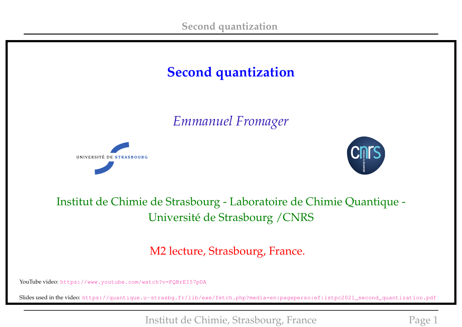

### Institut de Chimie de Strasbourg - Laboratoire de Chimie Quantique - Université de Strasbourg /CNRS

M2 lecture, Strasbourg, France.

YouTube video: <https://www.youtube.com/watch?v=FQBrEI57pDA>

Slides used in the video: [https://quantique.u-strasbg.fr/lib/exe/fetch.php?media=en:pageperso:ef:istpc2021\\_second\\_quantization.pdf](https://quantique.u-strasbg.fr/lib/exe/fetch.php?media=en:pageperso:ef:istpc2021_second_quantization.pdf)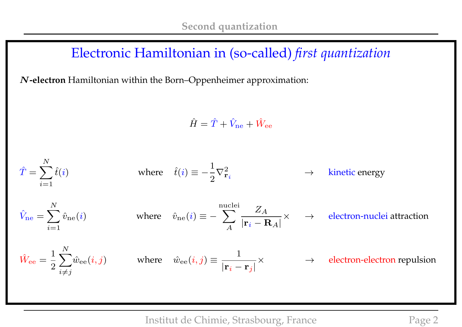### Electronic Hamiltonian in (so-called) *first quantization*

N**-electron** Hamiltonian within the Born–Oppenheimer approximation:

$$
\hat{H} = \hat{T} + \hat{V}_{\text{ne}} + \hat{W}_{\text{ee}}
$$

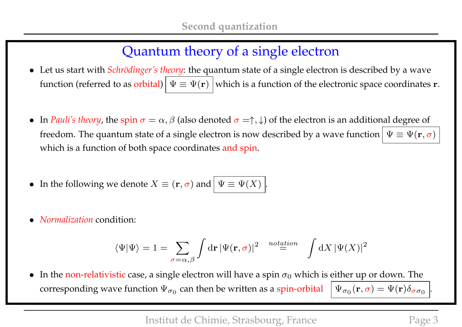# Quantum theory of a single electron

- Let us start with *Schrödinger's theory*: the quantum state of a single electron is described by a wave function (referred to as orbital)  $\Psi \equiv \Psi(\mathbf{r})$  which is a function of the electronic space coordinates r.
- In *Pauli's theory*, the spin  $\sigma = \alpha$ ,  $\beta$  (also denoted  $\sigma = \uparrow, \downarrow$ ) of the electron is an additional degree of freedom. The quantum state of a single electron is now described by a wave function  $\Psi \equiv \Psi(\mathbf{r}, \sigma)$ which is a function of both space coordinates and spin.
- In the following we denote  $X \equiv (\mathbf{r}, \sigma)$  and  $|\Psi \equiv \Psi(X)|$
- *Normalization* condition:

$$
\langle \Psi | \Psi \rangle = 1 = \sum_{\sigma = \alpha, \beta} \int \mathrm{d} \mathbf{r} \, |\Psi(\mathbf{r}, \sigma)|^2 \quad \stackrel{notation}{=} \int \mathrm{d} X \, |\Psi(X)|^2
$$

• In the non-relativistic case, a single electron will have a spin  $\sigma_0$  which is either up or down. The corresponding wave function  $\Psi_{\sigma_0}$  can then be written as a spin-orbital  $\; \mid \Psi_{\sigma_0} \;$  $\Psi_{\sigma_0}(\mathbf{r}, \sigma) = \Psi(\mathbf{r}) \delta_{\sigma \sigma_0}$ 

.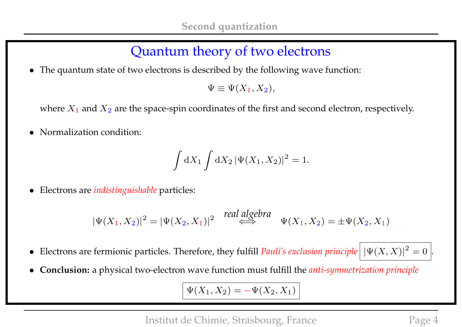## Quantum theory of two electrons

• The quantum state of two electrons is described by the following wave function:

 $\Psi \equiv \Psi(X_1, X_2),$ 

where  $X_1$  and  $X_2$  are the space-spin coordinates of the first and second electron, respectively.

• Normalization condition:

$$
\int dX_1 \int dX_2 \, |\Psi(X_1, X_2)|^2 = 1.
$$

• Electrons are *indistinguishable* particles:

$$
|\Psi(X_1, X_2)|^2 = |\Psi(X_2, X_1)|^2 \xrightarrow{\text{real algebra}} \Psi(X_1, X_2) = \pm \Psi(X_2, X_1)
$$

- Electrons are fermionic particles. Therefore, they fulfill *Pauli's exclusion principle*  $|\Psi(X, X)|^2 = 0$ .
- **Conclusion:** a physical two-electron wave function must fulfill the *anti-symmetrization principle*

$$
\Psi(X_1, X_2) = -\Psi(X_2, X_1)
$$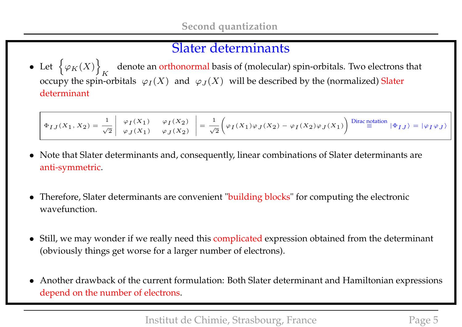### Slater determinants

• Let  $\{\varphi_K(X)\}\$ K denote an orthonormal basis of (molecular) spin-orbitals. Two electrons that occupy the spin-orbitals  $\;\varphi_I(X)\;$  and  $\;\varphi_J(X)\;$  will be described by the (normalized) Slater determinant

$$
\Phi_{IJ}(X_1,X_2) = \frac{1}{\sqrt{2}} \left| \begin{array}{cc} \varphi_I(X_1) & \varphi_I(X_2) \\ \varphi_J(X_1) & \varphi_J(X_2) \end{array} \right| = \frac{1}{\sqrt{2}} \Bigg( \varphi_I(X_1) \varphi_J(X_2) - \varphi_I(X_2) \varphi_J(X_1) \Bigg) \stackrel{\text{Dirac notation}}{=} |\Phi_{IJ}\rangle = |\varphi_I \varphi_J\rangle \Bigg)
$$

- Note that Slater determinants and, consequently, linear combinations of Slater determinants are anti-symmetric.
- Therefore, Slater determinants are convenient "building blocks" for computing the electronic wavefunction.
- Still, we may wonder if we really need this complicated expression obtained from the determinant (obviously things get worse for a larger number of electrons).
- Another drawback of the current formulation: Both Slater determinant and Hamiltonian expressions depend on the number of electrons.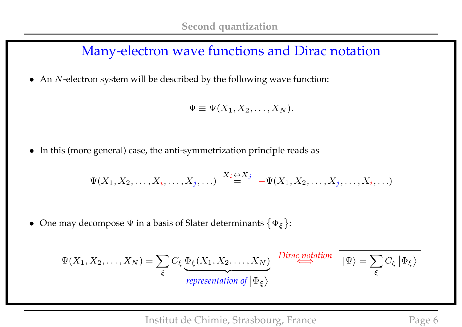### Many-electron wave functions and Dirac notation

• An  $N$ -electron system will be described by the following wave function:

$$
\Psi \equiv \Psi(X_1, X_2, \dots, X_N).
$$

• In this (more general) case, the anti-symmetrization principle reads as

$$
\Psi(X_1, X_2, \ldots, X_i, \ldots, X_j, \ldots) \stackrel{X_i \leftrightarrow X_j}{=} -\Psi(X_1, X_2, \ldots, X_j, \ldots, X_i, \ldots)
$$

• One may decompose  $\Psi$  in a basis of Slater determinants  $\{\Phi_{\xi}\}$ :

$$
\Psi(X_1, X_2, \dots, X_N) = \sum_{\xi} C_{\xi} \underbrace{\Phi_{\xi}(X_1, X_2, \dots, X_N)}_{representation \ of \ |\Phi_{\xi}\rangle} \xrightarrow{Dirac notation} \boxed{|\Psi\rangle = \sum_{\xi} C_{\xi} |\Phi_{\xi}\rangle}
$$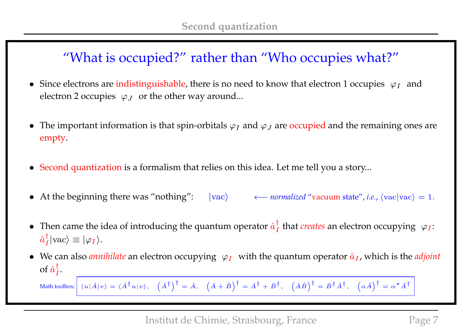## "What is occupied?" rather than "Who occupies what?"

- Since electrons are indistinguishable, there is no need to know that electron 1 occupies  $\varphi_I$  and electron 2 occupies  $\;\varphi_J\;$  or the other way around...
- The important information is that spin-orbitals  $\varphi_I$  and  $\varphi_J$  are occupied and the remaining ones are empty.
- Second quantization is a formalism that relies on this idea. Let me tell you a story...
- At the beginning there was "nothing":  $|vac\rangle$  ← *normalized* "vacuum state", *i.e.*,  $\langle vac|vac\rangle = 1$ .
- Then came the idea of introducing the quantum operator  $\hat{a}^{\dagger}_{I}$  $\frac{1}{I}$  that *creates* an electron occupying  $\varphi_I$ :  $\hat{a}^\dagger_I$  $\vert_I\vert \text{vac}\rangle \equiv \vert \varphi_I\rangle.$
- We can also *annihilate* an electron occupying  $\varphi_I$  with the quantum operator  $\hat{a}_I$ , which is the *adjoint* of  $\hat{a}^{\dagger}_{I}$  $\frac{1}{I}$ .

Math toolbox:  $\left|\begin{array}{cc} \langle u|\hat{A}|v\rangle=\langle\hat{A}^{\dag}u|v\rangle,\end{array}\right.\left(\hat{A}^{\dag}\right)^{\dag}=\hat{A},\quad \left(\hat{A}+\hat{B}\right)^{\dag}=\hat{A}^{\dag}+\hat{B}^{\dag},\quad \left(\hat{A}\hat{B}\right)^{\dag}=\hat{B}^{\dag}\hat{A}^{\dag},\quad \left(\alpha\hat{A}\right)^{\dag}=\alpha^{*}\hat{A}^{\dag}$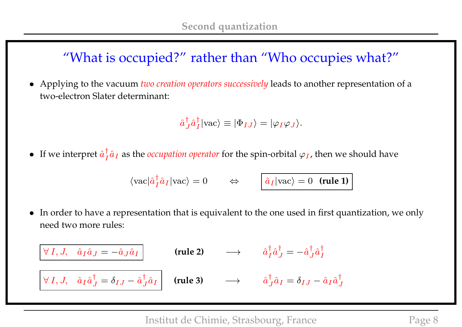## "What is occupied?" rather than "Who occupies what?"

• Applying to the vacuum *two creation operators successively* leads to another representation of a two-electron Slater determinant:

$$
\hat{a}^{\dagger}_{J}\hat{a}^{\dagger}_{I}|\text{vac}\rangle \equiv |\Phi_{IJ}\rangle = |\varphi_{I}\varphi_{J}\rangle.
$$

• If we interpret  $\hat{a}^{\dagger}_{I}$  $\frac{1}{I}\hat{a}_I$  as the *occupation operator* for the spin-orbital  $\varphi_I$ , then we should have

$$
\langle \mathrm{vac} | \hat{a}_I^{\dagger} \hat{a}_I | \mathrm{vac} \rangle = 0 \qquad \Leftrightarrow \qquad \boxed{\hat{a}_I | \mathrm{vac} \rangle = 0 \quad (\text{rule 1)}{}
$$

• In order to have a representation that is equivalent to the one used in first quantization, we only need two more rules:

$$
\begin{array}{|ccc|}\n\hline\n\forall I, J, & \hat{a}_I \hat{a}_J = -\hat{a}_J \hat{a}_I\n\end{array}
$$
 (rule 2)  $\longrightarrow$   $\hat{a}_I^{\dagger} \hat{a}_J^{\dagger} = -\hat{a}_J^{\dagger} \hat{a}_I^{\dagger}$   

$$
\boxed{\forall I, J, \hat{a}_I \hat{a}_J^{\dagger} = \delta_{IJ} - \hat{a}_J^{\dagger} \hat{a}_I}
$$
 (rule 3)  $\longrightarrow$   $\hat{a}_J^{\dagger} \hat{a}_I = \delta_{IJ} - \hat{a}_I \hat{a}_J^{\dagger}$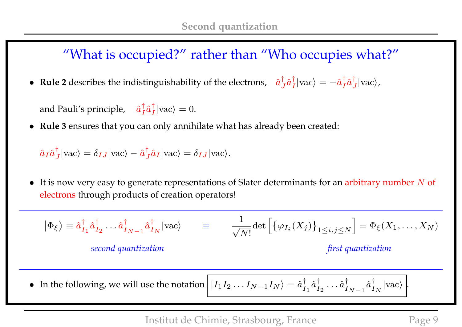### "What is occupied?" rather than "Who occupies what?"

• **Rule 2** describes the indistinguishability of the electrons,  $\hat{a}^{\dagger}_{j}$  $_{J}^{\dagger}\hat{a}_{I}^{\dagger}$  $\frac{\dagger}{I}$ |vac $\rangle = -\hat{a}^{\dagger}_{I}$  $_{I}^{\dagger}\hat{a}_{J}^{\dagger}$  $\frac{1}{J}$  | vac  $\rangle$ ,

and Pauli's principle,  $\hat{a}^{\dagger}_{I}$  $_{I}^{\dagger}\hat{a}_{I}^{\dagger}$  $\frac{1}{I}$ |vac $\rangle = 0$ .

• **Rule 3** ensures that you can only annihilate what has already been created:

$$
\hat{a}_I \hat{a}_J^{\dagger} |\text{vac}\rangle = \delta_{IJ} |\text{vac}\rangle - \hat{a}_J^{\dagger} \hat{a}_I |\text{vac}\rangle = \delta_{IJ} |\text{vac}\rangle.
$$

• It is now very easy to generate representations of Slater determinants for an arbitrary number  $N$  of electrons through products of creation operators!

$$
|\Phi_{\xi}\rangle \equiv \hat{a}_{I_1}^{\dagger} \hat{a}_{I_2}^{\dagger} \dots \hat{a}_{I_{N-1}}^{\dagger} \hat{a}_{I_N}^{\dagger} |\text{vac}\rangle \qquad \equiv \qquad \frac{1}{\sqrt{N!}} \det \left[ \{ \varphi_{I_i}(X_j) \}_{1 \le i,j \le N} \right] = \Phi_{\xi}(X_1, \dots, X_N)
$$
\n
$$
\text{second quantization} \qquad \qquad \text{first quantization}
$$

• In the following, we will use the notation  $|I_1I_2...I_{N-1}I_N\rangle = \hat{a}_I^{\dagger}$  $_{I_1}^{\dagger }\hat{a}_I^{\dagger }$  $\stackrel{\dagger}{I}_2 \cdots \hat a_I^{\dagger}$  $\overset{\dagger}{I}_{N-1}\hat{a}^{\dagger}_{I}$  $\frac{1}{I_N}$  | vac $\rangle$  |.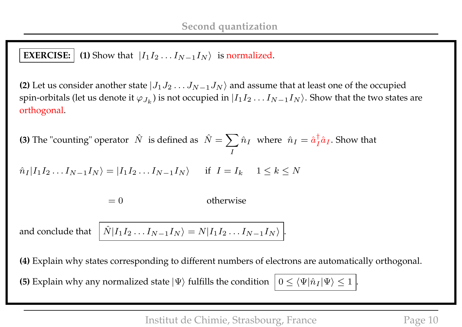### **EXERCISE:**  $\vert$  (1) Show that  $\vert I_1 I_2 ... I_{N-1} I_N \rangle$  is normalized.

**(2)** Let us consider another state  $|J_1J_2 \ldots J_{N-1}J_N\rangle$  and assume that at least one of the occupied spin-orbitals (let us denote it  $\varphi_{J_k}$ ) is not occupied in  $|I_1I_2\ldots I_{N-1}I_N\rangle.$  Show that the two states are orthogonal.

**(3)** The "counting" operator  $\hat{N}$  is defined as  $\hat{N} = \sum \hat{n}_I$  where  $\hat{n}_I = \hat{a}_I^{\dagger}$ I  $\frac{1}{I}\hat{a}_I$ . Show that

$$
\hat{n}_I | I_1 I_2 \dots I_{N-1} I_N \rangle = | I_1 I_2 \dots I_{N-1} I_N \rangle \quad \text{if } I = I_k \quad 1 \le k \le N
$$

 $= 0$  otherwise

and conclude that  $I_2...I_{N-1}I_N\rangle=N|I_1I_2...I_{N-1}I_N\rangle|.$ 

**(4)** Explain why states corresponding to different numbers of electrons are automatically orthogonal.

**(5)** Explain why any normalized state  $|\Psi\rangle$  fulfills the condition  $|0 \leq \langle \Psi | \hat{n}_I | \Psi \rangle \leq 1$ .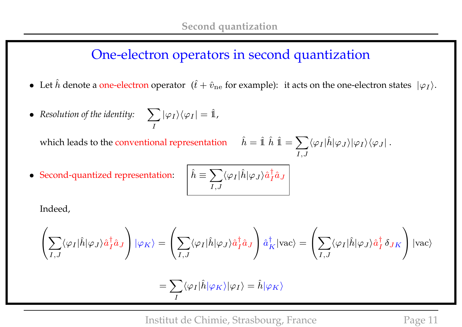### One-electron operators in second quantization

- Let  $\hat{h}$  denote a one-electron operator  $(\hat{t} + \hat{v}_{ne}$  for example): it acts on the one-electron states  $|\varphi_I\rangle$ .
- Resolution of the identity:  $\sum$ I  $|\varphi_I\rangle\langle\varphi_I|=\hat{\mathbb{1}},$

which leads to the conventional representation

$$
\hat{h} = \hat{1} \hat{h} \; \hat{1} = \sum_{I,J} \langle \varphi_I | \hat{h} | \varphi_J \rangle | \varphi_I \rangle \langle \varphi_J | \: .
$$

• Second-quantized representation: 
$$
\hat{h} \equiv
$$

$$
\left\lceil \hat{h} \equiv \sum_{I,J} \langle \varphi_I | \hat{h} | \varphi_J \rangle \hat{a}^\dagger_I \hat{a}_J \right\rceil
$$

Indeed,

$$
\left(\sum_{I,J}\langle\varphi_I|\hat{h}|\varphi_J\rangle\hat{a}_I^{\dagger}\hat{a}_J\right)|\varphi_K\rangle = \left(\sum_{I,J}\langle\varphi_I|\hat{h}|\varphi_J\rangle\hat{a}_I^{\dagger}\hat{a}_J\right)\hat{a}_K^{\dagger}|vac\rangle = \left(\sum_{I,J}\langle\varphi_I|\hat{h}|\varphi_J\rangle\hat{a}_I^{\dagger}\delta_{JK}\right)|vac\rangle
$$

$$
=\sum_I \langle \varphi_I|\hat{h}|\varphi_K\rangle|\varphi_I\rangle=\hat{h}|\varphi_K\rangle
$$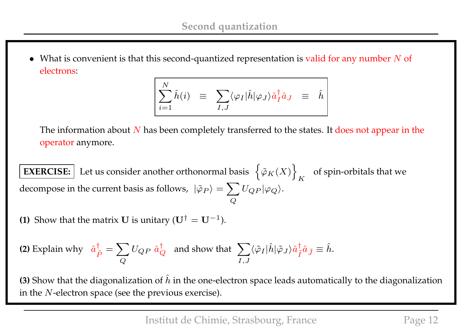• What is convenient is that this second-quantized representation is valid for any number  $N$  of electrons:

$$
\sum_{i=1}^N \hat{h}(i) \quad \equiv \quad \sum_{I,J} \langle \varphi_I | \hat{h} | \varphi_J \rangle \hat{a}_I^{\dagger} \hat{a}_J \quad \equiv \quad \hat{h}
$$

The information about  $N$  has been completely transferred to the states. It does not appear in the operator anymore.

**EXERCISE:** Let us consider another orthonormal basis  $\{\varphi_K(X)\}\$ K of spin-orbitals that we decompose in the current basis as follows,  $\ket{\tilde{\varphi}_P}=\sum \limits_{i=1}^N\ket{\tilde{\varphi}_P}$  $\pmb Q$  $U_{QP}|\varphi_Q\rangle.$ 

**(1)** Show that the matrix **U** is unitary  $(\mathbf{U}^{\dagger} = \mathbf{U}^{-1})$ .

(2) Explain why 
$$
\hat{a}_{\tilde{P}}^{\dagger} = \sum_{Q} U_{QP} \hat{a}_{Q}^{\dagger}
$$
 and show that  $\sum_{I,J} \langle \tilde{\varphi}_I | \hat{h} | \tilde{\varphi}_J \rangle \hat{a}_{\tilde{I}}^{\dagger} \hat{a}_{\tilde{J}} \equiv \hat{h}$ .

**(3)** Show that the diagonalization of  $\hat{h}$  in the one-electron space leads automatically to the diagonalization in the N-electron space (see the previous exercise).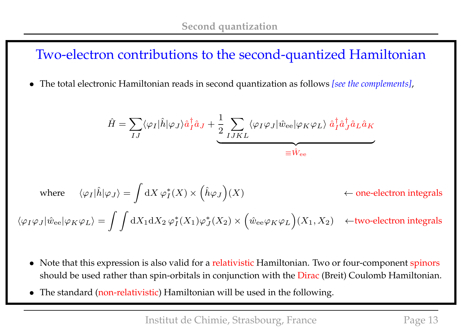## Two-electron contributions to the second-quantized Hamiltonian

• The total electronic Hamiltonian reads in second quantization as follows *[see the complements]*,

$$
\hat{H} = \sum_{IJ} \langle \varphi_I | \hat{h} | \varphi_J \rangle \hat{a}_I^{\dagger} \hat{a}_J + \frac{1}{2} \sum_{IJKL} \langle \varphi_I \varphi_J | \hat{w}_{ee} | \varphi_K \varphi_L \rangle \hat{a}_I^{\dagger} \hat{a}_J^{\dagger} \hat{a}_L \hat{a}_K
$$
\n
$$
\equiv \hat{W}_{ee}
$$

where 
$$
\langle \varphi_I | \hat{h} | \varphi_J \rangle = \int dX \varphi_I^*(X) \times (\hat{h} \varphi_J)(X)
$$
  $\leftarrow$  one-electron integrals  
 $\langle \varphi_I \varphi_J | \hat{w}_{ee} | \varphi_K \varphi_L \rangle = \int \int dX_1 dX_2 \varphi_I^*(X_1) \varphi_J^*(X_2) \times (\hat{w}_{ee} \varphi_K \varphi_L)(X_1, X_2) \leftarrow$ two-electron integrals

- Note that this expression is also valid for a relativistic Hamiltonian. Two or four-component spinors should be used rather than spin-orbitals in conjunction with the Dirac (Breit) Coulomb Hamiltonian.
- The standard (non-relativistic) Hamiltonian will be used in the following.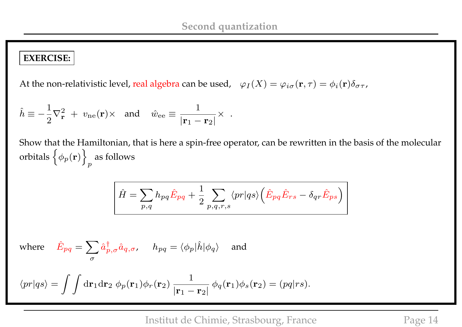#### **EXERCISE:**

At the non-relativistic level, real algebra can be used,  $\;\;\varphi_I(X)=\varphi_{i\sigma}({\bf r},\tau)=\phi_i({\bf r})\delta_{\sigma\tau}$ ,

$$
\hat{h} \equiv -\frac{1}{2}\nabla_{\mathbf{r}}^2 + v_{\text{ne}}(\mathbf{r}) \times \text{ and } \hat{w}_{\text{ee}} \equiv \frac{1}{|\mathbf{r}_1 - \mathbf{r}_2|} \times .
$$

Show that the Hamiltonian, that is here a spin-free operator, can be rewritten in the basis of the molecular orbitals  $\left\{ \phi_p(\mathbf{r}) \right\}$ p as follows

$$
\hat{H} = \sum_{p,q} h_{pq} \hat{E}_{pq} + \frac{1}{2} \sum_{p,q,r,s} \langle pr | qs \rangle \left( \hat{E}_{pq} \hat{E}_{rs} - \delta_{qr} \hat{E}_{ps} \right)
$$

where 
$$
\hat{E}_{pq} = \sum_{\sigma} \hat{a}^{\dagger}_{p,\sigma} \hat{a}_{q,\sigma}
$$
,  $h_{pq} = \langle \phi_p | \hat{h} | \phi_q \rangle$  and  

$$
\langle pr | qs \rangle = \int \int d\mathbf{r}_1 d\mathbf{r}_2 \; \phi_p(\mathbf{r}_1) \phi_r(\mathbf{r}_2) \; \frac{1}{|\mathbf{r}_1 - \mathbf{r}_2|} \; \phi_q(\mathbf{r}_1) \phi_s(\mathbf{r}_2) = (pq | rs).
$$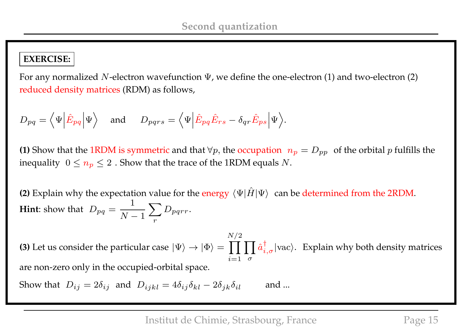### **EXERCISE:**

For any normalized N-electron wavefunction  $\Psi$ , we define the one-electron (1) and two-electron (2) reduced density matrices (RDM) as follows,

$$
D_{pq} = \langle \Psi | \hat{E}_{pq} | \Psi \rangle
$$
 and  $D_{pqrs} = \langle \Psi | \hat{E}_{pq} \hat{E}_{rs} - \delta_{qr} \hat{E}_{ps} | \Psi \rangle$ .

**(1)** Show that the 1RDM is symmetric and that  $\forall p$ , the occupation  $n_p = D_{pp}$  of the orbital p fulfills the inequality  $0 \le n_p \le 2$ . Show that the trace of the 1RDM equals N.

**(2)** Explain why the expectation value for the energy  $\langle \Psi | \hat{H} | \Psi \rangle$  can be determined from the 2RDM. **Hint**: show that  $D_{pq} =$ 1  $N-1$  $\sum$ r  $D_{pqrr}$ .

**(3)** Let us consider the particular case  $|\Psi\rangle\to|\Phi\rangle=\prod\prod\hat{a}^\dag_{i,\sigma}|\text{vac}\rangle$ . Explain why both density matrices  $N/2$  $i=1$   $\sigma$ are non-zero only in the occupied-orbital space.

Show that  $D_{ij} = 2\delta_{ij}$  and  $D_{ijkl} = 4\delta_{ij}\delta_{kl} - 2\delta_{jk}\delta_{il}$  and ...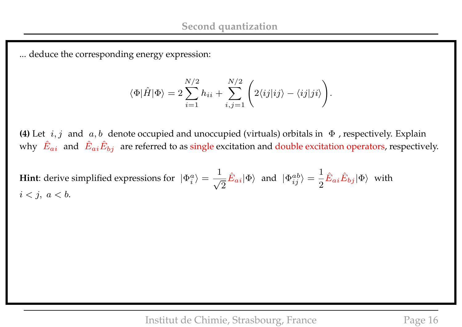... deduce the corresponding energy expression:

$$
\langle \Phi | \hat{H} | \Phi \rangle = 2 \sum_{i=1}^{N/2} h_{ii} + \sum_{i,j=1}^{N/2} \left( 2 \langle i j | i j \rangle - \langle i j | j i \rangle \right).
$$

**(4)** Let  $i, j$  and  $a, b$  denote occupied and unoccupied (virtuals) orbitals in  $\Phi$  , respectively. Explain why  $|\hat{E}_{ai}|$  and  $|\hat{E}_{ai}\hat{E}_{bj}|$  are referred to as single excitation and double excitation operators, respectively.

**Hint**: derive simplified expressions for  $|\Phi_i^a\rangle =$ 1 √ 2  $\hat{E}_{ai} |\Phi\rangle$  and  $|\Phi_{ij}^{ab}\rangle =$ 1 2  $\hat{E}_{ai}\hat{E}_{bj}|\Phi\rangle$  with  $i < j, a < b.$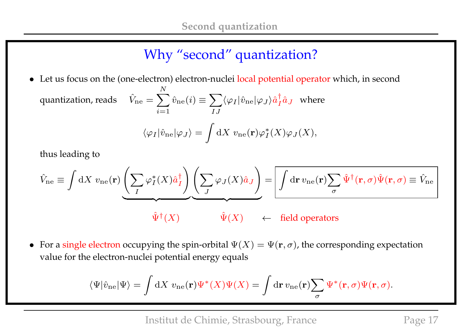# Why "second" quantization?

• Let us focus on the (one-electron) electron-nuclei local potential operator which, in second quantization, reads  $\sum$ N  $i=1$  $\hat{v}_\mathrm{ne}(i) \equiv \sum$ IJ  $\langle \varphi_I|\hat{v}_\text{ne}|\varphi_J\rangle \hat{a}^\dagger_I$  $i \hat{a}$ <sub>J</sub> where  $\langle \varphi_I|\hat{v}_\text{ne}|\varphi_J\rangle =$  $\overline{\phantom{a}}$  $\mathrm{d}X\;v_{\mathrm{ne}}(\mathbf{r})\varphi_{I}^{\ast}% =\operatorname{div}(\mathbf{r})\varphi_{I}^{\ast}+\operatorname{div}(\mathbf{r})\varphi_{I}^{\ast}+\operatorname{div}(\mathbf{r})\varphi_{I}^{\ast}%$  $^*_I(X)\varphi_J(X),$ 

thus leading to

$$
\hat{V}_{\text{ne}} \equiv \int dX \ v_{\text{ne}}(\mathbf{r}) \underbrace{\left(\sum_{I} \varphi_{I}^{*}(X)\hat{a}_{I}^{\dagger}\right)}_{\hat{\Psi}^{\dagger}(X)} \underbrace{\left(\sum_{J} \varphi_{J}(X)\hat{a}_{J}\right)}_{\hat{\Psi}} = \boxed{\int d\mathbf{r} \ v_{\text{ne}}(\mathbf{r}) \sum_{\sigma} \hat{\Psi}^{\dagger}(\mathbf{r}, \sigma) \hat{\Psi}(\mathbf{r}, \sigma) \equiv \hat{V}_{\text{ne}}}
$$

• For a single electron occupying the spin-orbital  $\Psi(X) = \Psi(\mathbf{r}, \sigma)$ , the corresponding expectation value for the electron-nuclei potential energy equals

$$
\langle\Psi|\hat{v}_{\rm ne}|\Psi\rangle = \int \mathrm{d}X \ v_{\rm ne}(\mathbf{r})\Psi^*(X)\Psi(X) = \int \mathrm{d}\mathbf{r} \, v_{\rm ne}(\mathbf{r})\sum_{\sigma} \Psi^*(\mathbf{r},\sigma)\Psi(\mathbf{r},\sigma).
$$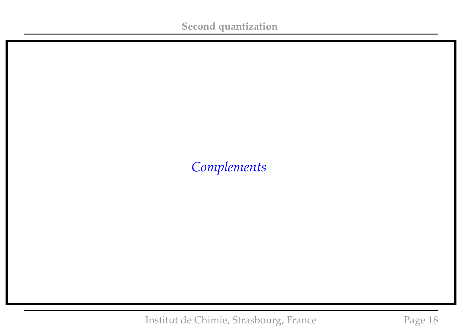## *Complements*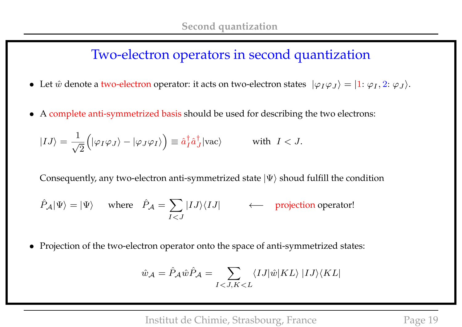### Two-electron operators in second quantization

- Let  $\hat{w}$  denote a two-electron operator: it acts on two-electron states  $|\varphi_I\varphi_J\rangle = |1: \varphi_I, 2: \varphi_J\rangle$ .
- A complete anti-symmetrized basis should be used for describing the two electrons:

$$
|IJ\rangle = \frac{1}{\sqrt{2}} \left( |\varphi_I \varphi_J \rangle - |\varphi_J \varphi_I \rangle \right) \equiv \hat{a}_I^{\dagger} \hat{a}_J^{\dagger} |\text{vac}\rangle \quad \text{with } I < J.
$$

Consequently, any two-electron anti-symmetrized state  $|\Psi\rangle$  shoud fulfill the condition

$$
\hat{P}_{\mathcal{A}}|\Psi\rangle = |\Psi\rangle
$$
 where  $\hat{P}_{\mathcal{A}} = \sum_{I < J} |IJ\rangle\langle IJ|$  \n $\leftarrow$  projection operator!

• Projection of the two-electron operator onto the space of anti-symmetrized states:

$$
\hat{w}_{\mathcal{A}} = \hat{P}_{\mathcal{A}} \hat{w} \hat{P}_{\mathcal{A}} = \sum_{I < J, K < L} \langle I J | \hat{w} | K L \rangle | I J \rangle \langle K L |
$$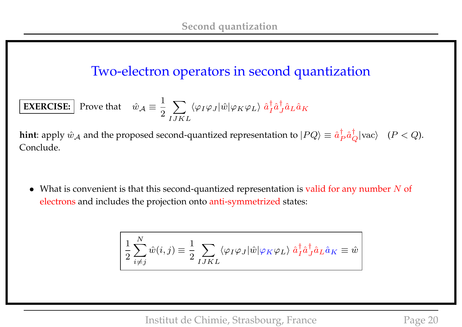## Two-electron operators in second quantization

**EXERCISE:** Prove that 
$$
\hat{w}_{A} \equiv \frac{1}{2} \sum_{IJKL} \langle \varphi_I \varphi_J | \hat{w} | \varphi_K \varphi_L \rangle \hat{a}_I^{\dagger} \hat{a}_L^{\dagger} \hat{a}_L \hat{a}_K
$$

**hint**: apply  $\hat{w}_\mathcal{A}$  and the proposed second-quantized representation to  $|PQ\rangle\equiv \hat{a}^\dagger_P$  $_P^{\dagger} \hat{a}_Q^{\dagger} |\text{vac}\rangle$   $(P < Q)$ . Conclude.

• What is convenient is that this second-quantized representation is valid for any number  $N$  of electrons and includes the projection onto anti-symmetrized states:

$$
\left( \frac{1}{2} \sum_{i \neq j}^{N} \hat{w}(i, j) \equiv \frac{1}{2} \sum_{I J K L} \langle \varphi_I \varphi_J | \hat{w} | \varphi_K \varphi_L \rangle \hat{a}_I^{\dagger} \hat{a}_J^{\dagger} \hat{a}_L \hat{a}_K \equiv \hat{w} \right)
$$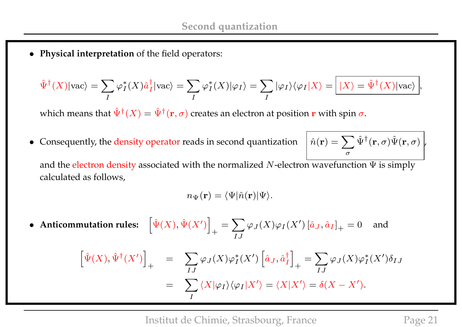• **Physical interpretation** of the field operators:

$$
\hat{\Psi}^{\dagger}(X)|\text{vac}\rangle = \sum_{I} \varphi_{I}^{*}(X)\hat{a}_{I}^{\dagger}|\text{vac}\rangle = \sum_{I} \varphi_{I}^{*}(X)|\varphi_{I}\rangle = \sum_{I} |\varphi_{I}\rangle\langle\varphi_{I}|X\rangle = |X\rangle = \hat{\Psi}^{\dagger}(X)|\text{vac}\rangle,
$$

which means that  $\hat{\Psi}^{\dagger}(X)=\hat{\Psi}^{\dagger}(\mathbf{r},\sigma)$  creates an electron at position  $\mathbf r$  with spin  $\sigma.$ 

• Consequently, the density operator reads in second quantization

$$
\hat{n}(\mathbf{r}) = \sum_{\sigma} \hat{\Psi}^{\dagger}(\mathbf{r}, \sigma) \hat{\Psi}(\mathbf{r}, \sigma) \Big|_{\!\!\! r}
$$

and the electron density associated with the normalized N-electron wavefunction  $\Psi$  is simply calculated as follows,

$$
n_{\Psi}(\mathbf{r}) = \langle \Psi | \hat{n}(\mathbf{r}) | \Psi \rangle.
$$

• Anticommutation rules:  $\hat{\Psi}(X), \hat{\Psi}(X')\Bigr]$  $+$  $=$   $\sum$ IJ  $\varphi_J(X)\varphi_I(X')\left[\hat a_J,\hat a_I\right]_+$ and

$$
\left[\hat{\Psi}(X),\hat{\Psi}^{\dagger}(X')\right]_{+} = \sum_{IJ} \varphi_{J}(X)\varphi_{I}^{*}(X')\left[\hat{a}_{J},\hat{a}_{I}^{\dagger}\right]_{+} = \sum_{IJ} \varphi_{J}(X)\varphi_{I}^{*}(X')\delta_{IJ}
$$

$$
= \sum_{I} \langle X|\varphi_{I}\rangle\langle\varphi_{I}|X'\rangle = \langle X|X'\rangle = \delta(X-X').
$$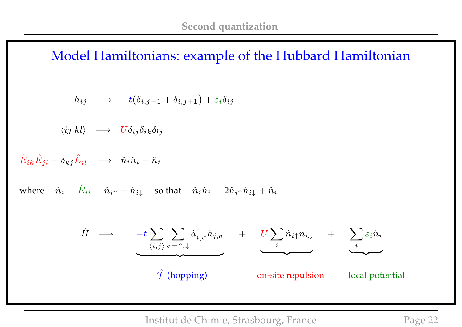Model Hamiltonians: example of the Hubbard Hamiltonian

$$
h_{ij} \quad \longrightarrow \quad -t\big(\delta_{i,j-1} + \delta_{i,j+1}\big) + \varepsilon_i \delta_{ij}
$$

 $\langle ij|kl\rangle \longrightarrow U\delta_{ij}\delta_{ik}\delta_{lj}$ 

 $\hat{E}_{ik}\hat{E}_{jl}-\delta_{kj}\hat{E}_{il}\quad\longrightarrow\quad\hat{n}_{i}\hat{n}_{i}-\hat{n}_{i}$ 

where  $\hat{n}_i = \hat{E}_{ii} = \hat{n}_{i\uparrow} + \hat{n}_{i\downarrow}$  so that  $\hat{n}_i \hat{n}_i = 2\hat{n}_{i\uparrow} \hat{n}_{i\downarrow} + \hat{n}_i$ 

$$
\hat{H} \longrightarrow \underbrace{-t \sum_{\langle i,j \rangle} \sum_{\sigma=\uparrow,\downarrow} \hat{a}_{i,\sigma}^{\dagger} \hat{a}_{j,\sigma}}_{\text{Tr}(1)} + \underbrace{U \sum_{i} \hat{n}_{i\uparrow} \hat{n}_{i\downarrow}}_{\text{on-site repulsion}} + \underbrace{\sum_{i} \varepsilon_{i} \hat{n}_{i}}_{\text{local potential}}
$$